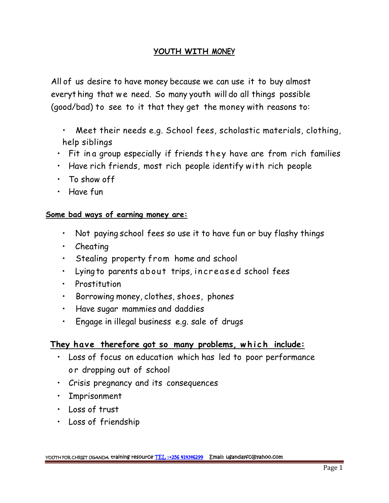## **YOUTH WITH MONEY**

All of us desire to have money because we can use it to buy almost YOUTH WITH MONEY<br>All of us desire to have money because we can use it to buy almost<br>everyt hing that we need. So many youth will do all things possible<br>(good/bad) to see to it that they get the money with reasons to:

- Meet their needs e.g. School fees, scholastic materials, clothing, help siblings
- Fit in a group especially if friends they have are from rich families
- Have rich friends, most rich people identify with rich people
- To show off
- Have fun

## **Some bad ways of earning money are:**

- Not paying school fees so use it to have fun or buy flashy things • Not paying school fees so use it to have fun or buy flashy thing<br>• Cheating<br>• Stealing property from home and school<br>• Lying to parents about trips, increased school fees<br>• Prostitution
- Cheating
- Stealing property from home and school
- 
- Prostitution
- Borrowing money, clothes, shoes, phones
- Have sugar mammies and daddies
- Engage in illegal business e.g. sale of drugs

- Borrowing money, clothes, shoes, phones<br>• Have sugar mammies and daddies<br>• Engage in illegal business e.g. sale of drugs<br>**They have therefore got so many problems, which include:**<br>• Loss of focus on education which has l • Engage in illegal business e.g. sale of drugs<br>hey have therefore got so many problems, w<br>• Loss of focus on education which has led to p<br>• Crisis pregnancy and its consequences
	-
	- Imprisonment
	- Loss of trust
	- Loss of friendship